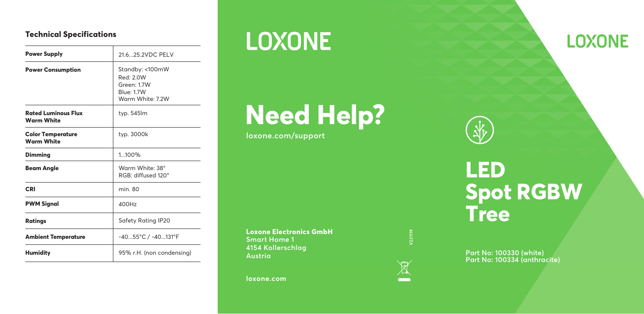## **Technical Specifications**

| <b>Power Supply</b>                             | 21.625.2VDC PELV                                                                    |
|-------------------------------------------------|-------------------------------------------------------------------------------------|
| <b>Power Consumption</b>                        | Standby: <100mW<br>Red: 20W<br>Green: 1.7W<br><b>Blue: 1.7W</b><br>Warm White: 7.2W |
| <b>Rated Luminous Flux</b><br><b>Warm White</b> | typ. 545lm                                                                          |
| <b>Color Temperature</b><br>Warm White          | typ. 3000k                                                                          |
| Dimming                                         | 1100%                                                                               |
| <b>Beam Angle</b>                               | Warm White: 38°<br>RGB: diffused 120°                                               |
| CRI                                             | min. 80                                                                             |
| <b>PWM Signal</b>                               | 400H <sub>z</sub>                                                                   |
| Ratings                                         | Safety Rating IP20                                                                  |
| <b>Ambient Temperature</b>                      | -4055°C / -40131°F                                                                  |
| <b>Humidity</b>                                 | 95% r.H. (non condensing)                                                           |

## **LOXONE**

## **Need Help?**

**loxone.com/support**

**Loxone Electronics GmbH Smart Home 1 4154 Kollerschlag Austria**

**loxone.com**



# **Tree**

**Spot RGBW**

**Part No: 100330 (white) Part No: 100334 (anthracite)**



**LED**

## **LOXONE**